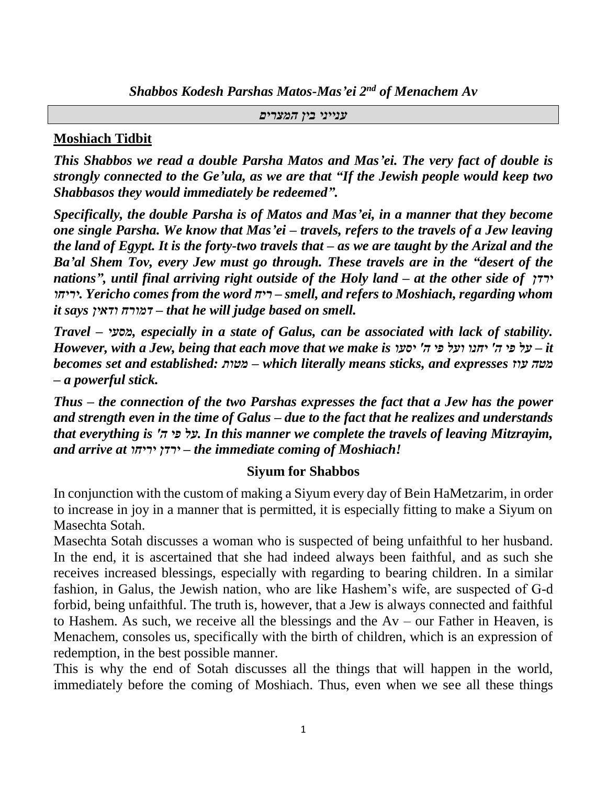*Shabbos Kodesh Parshas Matos-Mas'ei 2nd of Menachem Av*

*ענייני בין המצרים*

## **Moshiach Tidbit**

*This Shabbos we read a double Parsha Matos and Mas'ei. The very fact of double is strongly connected to the Ge'ula, as we are that "If the Jewish people would keep two Shabbasos they would immediately be redeemed".*

*Specifically, the double Parsha is of Matos and Mas'ei, in a manner that they become one single Parsha. We know that Mas'ei – travels, refers to the travels of a Jew leaving the land of Egypt. It is the forty-two travels that – as we are taught by the Arizal and the Ba'al Shem Tov, every Jew must go through. These travels are in the "desert of the nations", until final arriving right outside of the Holy land – at the other side of ירדן יריחו. Yericho comes from the word ריח – smell, and refers to Moshiach, regarding whom it says ודאין דמורח – that he will judge based on smell.*

*Travel – מסעי, especially in a state of Galus, can be associated with lack of stability. However, with a Jew, being that each move that we make is יסעו' ה פי ועל יחנו' ה פי על – it becomes set and established: מטות – which literally means sticks, and expresses עוז מטה – a powerful stick.*

*Thus – the connection of the two Parshas expresses the fact that a Jew has the power and strength even in the time of Galus – due to the fact that he realizes and understands that everything is 'ה פי על. In this manner we complete the travels of leaving Mitzrayim, and arrive at יריחו ירדן – the immediate coming of Moshiach!*

## **Siyum for Shabbos**

In conjunction with the custom of making a Siyum every day of Bein HaMetzarim, in order to increase in joy in a manner that is permitted, it is especially fitting to make a Siyum on Masechta Sotah.

Masechta Sotah discusses a woman who is suspected of being unfaithful to her husband. In the end, it is ascertained that she had indeed always been faithful, and as such she receives increased blessings, especially with regarding to bearing children. In a similar fashion, in Galus, the Jewish nation, who are like Hashem's wife, are suspected of G-d forbid, being unfaithful. The truth is, however, that a Jew is always connected and faithful to Hashem. As such, we receive all the blessings and the  $Av - our Father$  in Heaven, is Menachem, consoles us, specifically with the birth of children, which is an expression of redemption, in the best possible manner.

This is why the end of Sotah discusses all the things that will happen in the world, immediately before the coming of Moshiach. Thus, even when we see all these things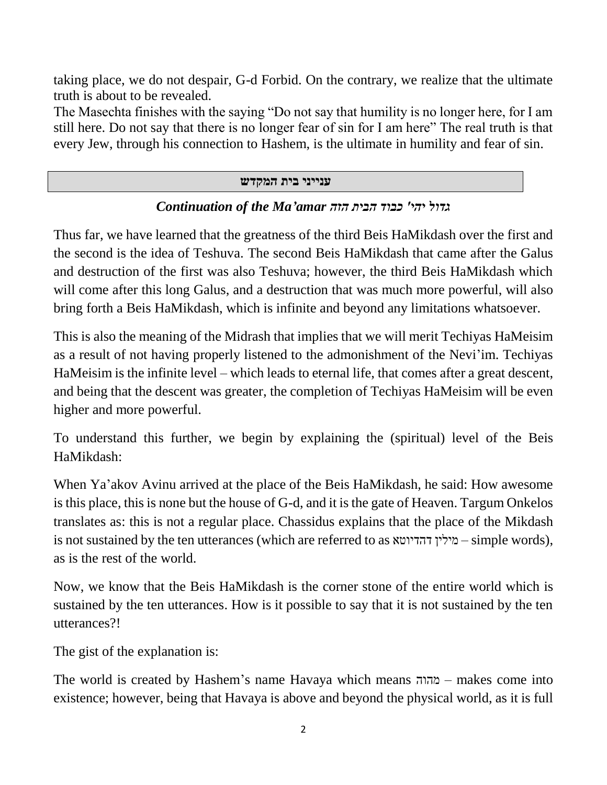taking place, we do not despair, G-d Forbid. On the contrary, we realize that the ultimate truth is about to be revealed.

The Masechta finishes with the saying "Do not say that humility is no longer here, for I am still here. Do not say that there is no longer fear of sin for I am here" The real truth is that every Jew, through his connection to Hashem, is the ultimate in humility and fear of sin.

## **ענייני בית המקדש**

## *גדול יהי' כבוד הבית הזה amar'Ma the of Continuation*

Thus far, we have learned that the greatness of the third Beis HaMikdash over the first and the second is the idea of Teshuva. The second Beis HaMikdash that came after the Galus and destruction of the first was also Teshuva; however, the third Beis HaMikdash which will come after this long Galus, and a destruction that was much more powerful, will also bring forth a Beis HaMikdash, which is infinite and beyond any limitations whatsoever.

This is also the meaning of the Midrash that implies that we will merit Techiyas HaMeisim as a result of not having properly listened to the admonishment of the Nevi'im. Techiyas HaMeisim is the infinite level – which leads to eternal life, that comes after a great descent, and being that the descent was greater, the completion of Techiyas HaMeisim will be even higher and more powerful.

To understand this further, we begin by explaining the (spiritual) level of the Beis HaMikdash:

When Ya'akov Avinu arrived at the place of the Beis HaMikdash, he said: How awesome is this place, this is none but the house of G-d, and it is the gate of Heaven. Targum Onkelos translates as: this is not a regular place. Chassidus explains that the place of the Mikdash is not sustained by the ten utterances (which are referred to as דהדיוטא מילין – simple words), as is the rest of the world.

Now, we know that the Beis HaMikdash is the corner stone of the entire world which is sustained by the ten utterances. How is it possible to say that it is not sustained by the ten utterances?!

The gist of the explanation is:

The world is created by Hashem's name Havaya which means מהוה – makes come into existence; however, being that Havaya is above and beyond the physical world, as it is full